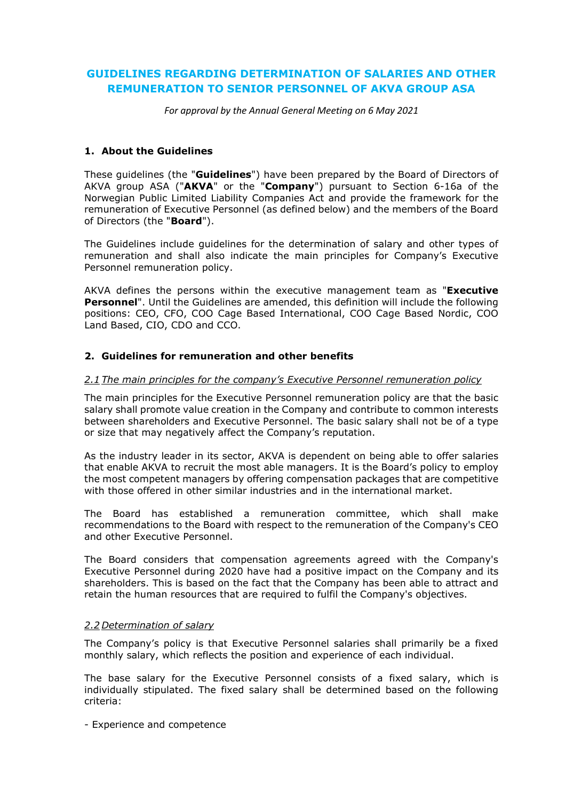# **GUIDELINES REGARDING DETERMINATION OF SALARIES AND OTHER REMUNERATION TO SENIOR PERSONNEL OF AKVA GROUP ASA**

*For approval by the Annual General Meeting on 6 May 2021*

# **1. About the Guidelines**

These guidelines (the "**Guidelines**") have been prepared by the Board of Directors of AKVA group ASA ("**AKVA**" or the "**Company**") pursuant to Section 6-16a of the Norwegian Public Limited Liability Companies Act and provide the framework for the remuneration of Executive Personnel (as defined below) and the members of the Board of Directors (the "**Board**").

The Guidelines include guidelines for the determination of salary and other types of remuneration and shall also indicate the main principles for Company's Executive Personnel remuneration policy.

AKVA defines the persons within the executive management team as "**Executive Personnel**". Until the Guidelines are amended, this definition will include the following positions: CEO, CFO, COO Cage Based International, COO Cage Based Nordic, COO Land Based, CIO, CDO and CCO.

### **2. Guidelines for remuneration and other benefits**

#### *2.1 The main principles for the company's Executive Personnel remuneration policy*

The main principles for the Executive Personnel remuneration policy are that the basic salary shall promote value creation in the Company and contribute to common interests between shareholders and Executive Personnel. The basic salary shall not be of a type or size that may negatively affect the Company's reputation.

As the industry leader in its sector, AKVA is dependent on being able to offer salaries that enable AKVA to recruit the most able managers. It is the Board's policy to employ the most competent managers by offering compensation packages that are competitive with those offered in other similar industries and in the international market.

The Board has established a remuneration committee, which shall make recommendations to the Board with respect to the remuneration of the Company's CEO and other Executive Personnel.

The Board considers that compensation agreements agreed with the Company's Executive Personnel during 2020 have had a positive impact on the Company and its shareholders. This is based on the fact that the Company has been able to attract and retain the human resources that are required to fulfil the Company's objectives.

#### *2.2 Determination of salary*

The Company's policy is that Executive Personnel salaries shall primarily be a fixed monthly salary, which reflects the position and experience of each individual.

The base salary for the Executive Personnel consists of a fixed salary, which is individually stipulated. The fixed salary shall be determined based on the following criteria:

- Experience and competence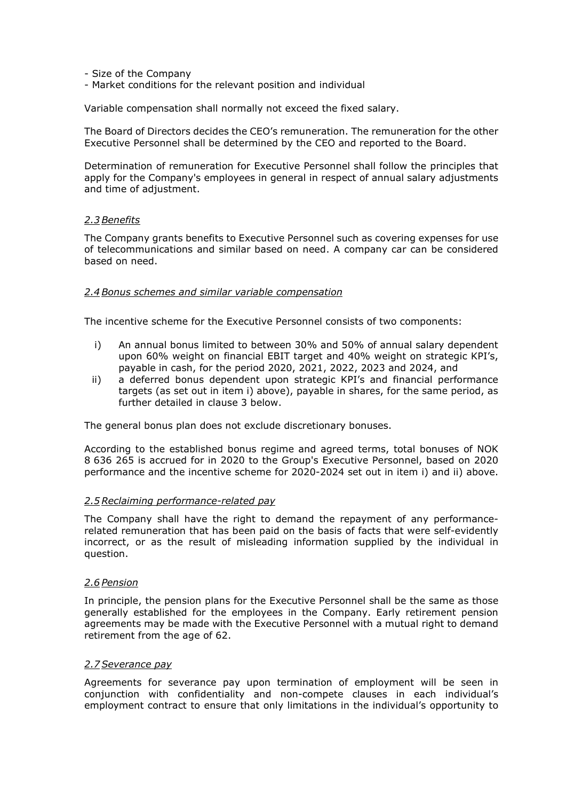- Size of the Company

- Market conditions for the relevant position and individual

Variable compensation shall normally not exceed the fixed salary.

The Board of Directors decides the CEO's remuneration. The remuneration for the other Executive Personnel shall be determined by the CEO and reported to the Board.

Determination of remuneration for Executive Personnel shall follow the principles that apply for the Company's employees in general in respect of annual salary adjustments and time of adjustment.

#### *2.3 Benefits*

The Company grants benefits to Executive Personnel such as covering expenses for use of telecommunications and similar based on need. A company car can be considered based on need.

#### *2.4 Bonus schemes and similar variable compensation*

The incentive scheme for the Executive Personnel consists of two components:

- i) An annual bonus limited to between 30% and 50% of annual salary dependent upon 60% weight on financial EBIT target and 40% weight on strategic KPI's, payable in cash, for the period 2020, 2021, 2022, 2023 and 2024, and
- ii) a deferred bonus dependent upon strategic KPI's and financial performance targets (as set out in item i) above), payable in shares, for the same period, as further detailed in clause 3 below.

The general bonus plan does not exclude discretionary bonuses.

According to the established bonus regime and agreed terms, total bonuses of NOK 8 636 265 is accrued for in 2020 to the Group's Executive Personnel, based on 2020 performance and the incentive scheme for 2020-2024 set out in item i) and ii) above.

#### *2.5Reclaiming performance-related pay*

The Company shall have the right to demand the repayment of any performancerelated remuneration that has been paid on the basis of facts that were self-evidently incorrect, or as the result of misleading information supplied by the individual in question.

# *2.6 Pension*

In principle, the pension plans for the Executive Personnel shall be the same as those generally established for the employees in the Company. Early retirement pension agreements may be made with the Executive Personnel with a mutual right to demand retirement from the age of 62.

#### *2.7 Severance pay*

Agreements for severance pay upon termination of employment will be seen in conjunction with confidentiality and non-compete clauses in each individual's employment contract to ensure that only limitations in the individual's opportunity to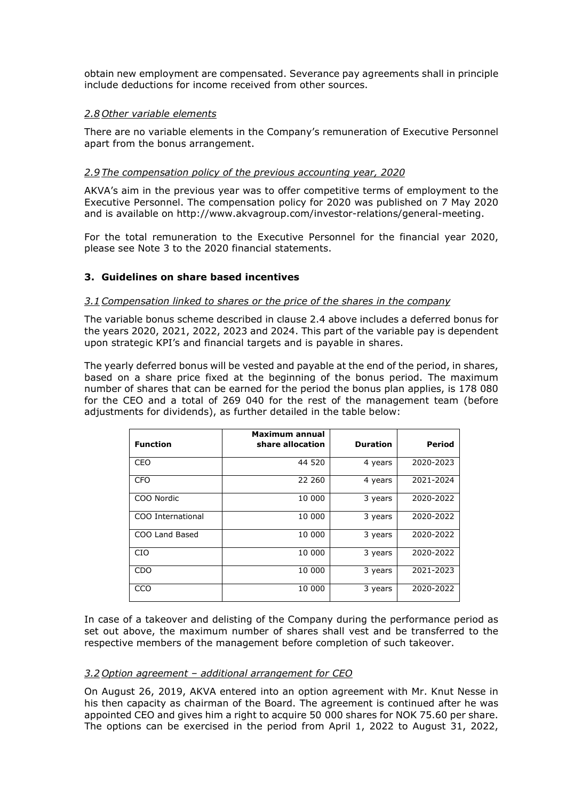obtain new employment are compensated. Severance pay agreements shall in principle include deductions for income received from other sources.

#### *2.8 Other variable elements*

There are no variable elements in the Company's remuneration of Executive Personnel apart from the bonus arrangement.

# *2.9 The compensation policy of the previous accounting year, 2020*

AKVA's aim in the previous year was to offer competitive terms of employment to the Executive Personnel. The compensation policy for 2020 was published on 7 May 2020 and is available on [http://www.akvagroup.com/investor-relations/general-meeting.](http://www.akvagroup.com/investor-relations/general-meeting)

For the total remuneration to the Executive Personnel for the financial year 2020, please see Note 3 to the 2020 financial statements.

### **3. Guidelines on share based incentives**

#### *3.1Compensation linked to shares or the price of the shares in the company*

The variable bonus scheme described in clause 2.4 above includes a deferred bonus for the years 2020, 2021, 2022, 2023 and 2024. This part of the variable pay is dependent upon strategic KPI's and financial targets and is payable in shares.

The yearly deferred bonus will be vested and payable at the end of the period, in shares, based on a share price fixed at the beginning of the bonus period. The maximum number of shares that can be earned for the period the bonus plan applies, is 178 080 for the CEO and a total of 269 040 for the rest of the management team (before adjustments for dividends), as further detailed in the table below:

| <b>Function</b>   | Maximum annual<br>share allocation | <b>Duration</b> | Period    |
|-------------------|------------------------------------|-----------------|-----------|
| CEO               | 44 520                             | 4 years         | 2020-2023 |
| <b>CFO</b>        | 22 260                             | 4 years         | 2021-2024 |
| COO Nordic        | 10 000                             | 3 years         | 2020-2022 |
| COO International | 10 000                             | 3 years         | 2020-2022 |
| COO Land Based    | 10 000                             | 3 years         | 2020-2022 |
| <b>CIO</b>        | 10 000                             | 3 years         | 2020-2022 |
| CDO               | 10 000                             | 3 years         | 2021-2023 |
| CCO               | 10 000                             | 3 years         | 2020-2022 |

In case of a takeover and delisting of the Company during the performance period as set out above, the maximum number of shares shall vest and be transferred to the respective members of the management before completion of such takeover.

# *3.2 Option agreement – additional arrangement for CEO*

On August 26, 2019, AKVA entered into an option agreement with Mr. Knut Nesse in his then capacity as chairman of the Board. The agreement is continued after he was appointed CEO and gives him a right to acquire 50 000 shares for NOK 75.60 per share. The options can be exercised in the period from April 1, 2022 to August 31, 2022,